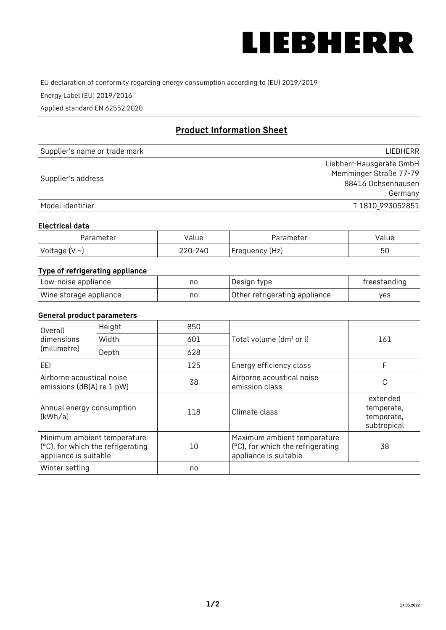

EU declaration of conformity regarding energy consumption according to (EU) 2019/2019

Energy Label (EU) 2019/2016

Applied standard EN 62552:2020

# **Product Information Sheet**

| Supplier's name or trade mark | <b>LIFBHFRR</b>          |
|-------------------------------|--------------------------|
|                               | Liebherr-Hausgeräte GmbH |
|                               | Memminger Straße 77-79   |
| Supplier's address            | 88416 Ochsenhausen       |
|                               | Germany                  |
| Model identifier              | T 1810 993052851         |

#### **Electrical data**

| Parameter           | Value   | Parameter      | Value |
|---------------------|---------|----------------|-------|
| Voltage (V $\sim$ ) | 220-240 | Frequency (Hz) | 50    |

# **Type of refrigerating appliance**

| Low-noise appliance    | nc | Design type                   | freestanding |
|------------------------|----|-------------------------------|--------------|
| Wine storage appliance | nc | Other refrigerating appliance | ves          |

### **General product parameters**

| Height<br>Overall                                                                         |       | 850 |                                                                                           |                                                     |
|-------------------------------------------------------------------------------------------|-------|-----|-------------------------------------------------------------------------------------------|-----------------------------------------------------|
| dimensions<br>(millimetre)                                                                | Width | 601 | Total volume (dm <sup>3</sup> or l)                                                       | 161                                                 |
|                                                                                           | Depth | 628 |                                                                                           |                                                     |
| EEL                                                                                       |       | 125 | Energy efficiency class                                                                   | F                                                   |
| Airborne acoustical noise<br>emissions (dB(A) re 1 pW)                                    |       | 38  | Airborne acoustical noise<br>emission class                                               | С                                                   |
| Annual energy consumption<br>(kWh/a)                                                      |       | 118 | Climate class                                                                             | extended<br>temperate,<br>temperate,<br>subtropical |
| Minimum ambient temperature<br>(°C), for which the refrigerating<br>appliance is suitable |       | 10  | Maximum ambient temperature<br>(°C), for which the refrigerating<br>appliance is suitable | 38                                                  |
| Winter setting                                                                            |       | no  |                                                                                           |                                                     |